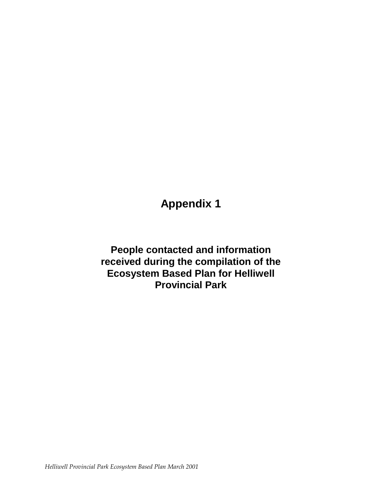## **Appendix 1**

**People contacted and information received during the compilation of the Ecosystem Based Plan for Helliwell Provincial Park**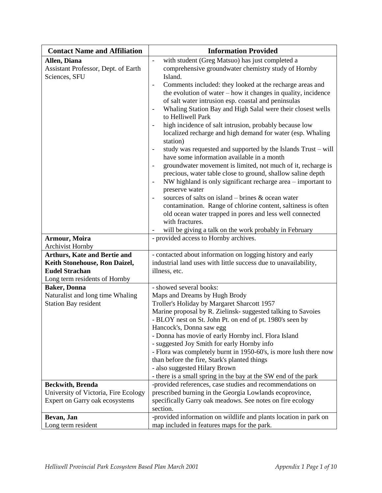| <b>Contact Name and Affiliation</b>                                                                                                                                                             | <b>Information Provided</b>                                                                                                                                                                                                                                                                                                                                                                                                                                                                                                                                                                                                                                                                                                                                                                                                                                                                                                                                                                                                                                                                                                                                                                                                                                                                                                                                                                                           |
|-------------------------------------------------------------------------------------------------------------------------------------------------------------------------------------------------|-----------------------------------------------------------------------------------------------------------------------------------------------------------------------------------------------------------------------------------------------------------------------------------------------------------------------------------------------------------------------------------------------------------------------------------------------------------------------------------------------------------------------------------------------------------------------------------------------------------------------------------------------------------------------------------------------------------------------------------------------------------------------------------------------------------------------------------------------------------------------------------------------------------------------------------------------------------------------------------------------------------------------------------------------------------------------------------------------------------------------------------------------------------------------------------------------------------------------------------------------------------------------------------------------------------------------------------------------------------------------------------------------------------------------|
| Allen, Diana<br>Assistant Professor, Dept. of Earth<br>Sciences, SFU<br><b>Armour, Moira</b><br><b>Archivist Hornby</b><br><b>Arthurs, Kate and Bertie and</b><br>Keith Stonehouse, Ron Daizel, | with student (Greg Matsuo) has just completed a<br>$\overline{\phantom{a}}$<br>comprehensive groundwater chemistry study of Hornby<br>Island.<br>Comments included: they looked at the recharge areas and<br>the evolution of water - how it changes in quality, incidence<br>of salt water intrusion esp. coastal and peninsulas<br>Whaling Station Bay and High Salal were their closest wells<br>$\overline{\phantom{a}}$<br>to Helliwell Park<br>high incidence of salt intrusion, probably because low<br>localized recharge and high demand for water (esp. Whaling<br>station)<br>study was requested and supported by the Islands Trust – will<br>$\overline{\phantom{0}}$<br>have some information available in a month<br>groundwater movement is limited, not much of it, recharge is<br>$\overline{\phantom{a}}$<br>precious, water table close to ground, shallow saline depth<br>NW highland is only significant recharge area – important to<br>preserve water<br>sources of salts on island – brines & ocean water<br>contamination. Range of chlorine content, saltiness is often<br>old ocean water trapped in pores and less well connected<br>with fractures.<br>will be giving a talk on the work probably in February<br>- provided access to Hornby archives.<br>- contacted about information on logging history and early<br>industrial land uses with little success due to unavailability, |
| <b>Eudel Strachan</b><br>Long term residents of Hornby                                                                                                                                          | illness, etc.                                                                                                                                                                                                                                                                                                                                                                                                                                                                                                                                                                                                                                                                                                                                                                                                                                                                                                                                                                                                                                                                                                                                                                                                                                                                                                                                                                                                         |
| <b>Baker</b> , Donna<br>Naturalist and long time Whaling<br><b>Station Bay resident</b>                                                                                                         | - showed several books:<br>Maps and Dreams by Hugh Brody<br>Troller's Holiday by Margaret Sharcott 1957<br>Marine proposal by R. Zielinsk- suggested talking to Savoies<br>- BLOY nest on St. John Pt. on end of pt. 1980's seen by<br>Hancock's, Donna saw egg<br>- Donna has movie of early Hornby incl. Flora Island<br>- suggested Joy Smith for early Hornby info<br>- Flora was completely burnt in 1950-60's, is more lush there now<br>than before the fire, Stark's planted things<br>- also suggested Hilary Brown<br>- there is a small spring in the bay at the SW end of the park                                                                                                                                                                                                                                                                                                                                                                                                                                                                                                                                                                                                                                                                                                                                                                                                                        |
| <b>Beckwith</b> , <b>Brenda</b><br>University of Victoria, Fire Ecology                                                                                                                         | -provided references, case studies and recommendations on<br>prescribed burning in the Georgia Lowlands ecoprovince,                                                                                                                                                                                                                                                                                                                                                                                                                                                                                                                                                                                                                                                                                                                                                                                                                                                                                                                                                                                                                                                                                                                                                                                                                                                                                                  |
| Expert on Garry oak ecosystems                                                                                                                                                                  | specifically Garry oak meadows. See notes on fire ecology<br>section.                                                                                                                                                                                                                                                                                                                                                                                                                                                                                                                                                                                                                                                                                                                                                                                                                                                                                                                                                                                                                                                                                                                                                                                                                                                                                                                                                 |
| Bevan, Jan<br>Long term resident                                                                                                                                                                | -provided information on wildlife and plants location in park on<br>map included in features maps for the park.                                                                                                                                                                                                                                                                                                                                                                                                                                                                                                                                                                                                                                                                                                                                                                                                                                                                                                                                                                                                                                                                                                                                                                                                                                                                                                       |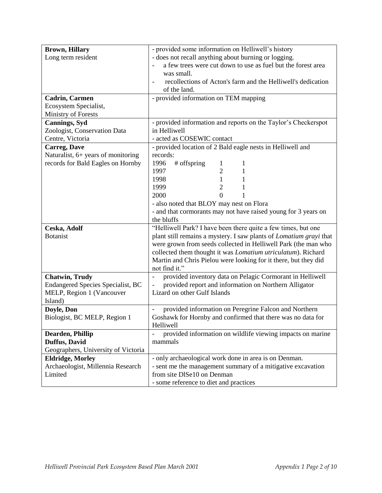| <b>Brown, Hillary</b>                    | - provided some information on Helliwell's history                                        |
|------------------------------------------|-------------------------------------------------------------------------------------------|
| Long term resident                       | - does not recall anything about burning or logging.                                      |
|                                          | a few trees were cut down to use as fuel but the forest area                              |
|                                          | was small.                                                                                |
|                                          | recollections of Acton's farm and the Helliwell's dedication                              |
|                                          | of the land.                                                                              |
| <b>Cadrin, Carmen</b>                    | - provided information on TEM mapping                                                     |
| Ecosystem Specialist,                    |                                                                                           |
| Ministry of Forests                      |                                                                                           |
| <b>Cannings</b> , Syd                    | - provided information and reports on the Taylor's Checkerspot                            |
| Zoologist, Conservation Data             | in Helliwell                                                                              |
| Centre, Victoria                         | - acted as COSEWIC contact                                                                |
| <b>Carreg, Dave</b>                      | - provided location of 2 Bald eagle nests in Helliwell and                                |
| Naturalist, 6+ years of monitoring       | records:                                                                                  |
| records for Bald Eagles on Hornby        | 1996<br># offspring<br>$\mathbf 1$<br>$\mathbf{I}$                                        |
|                                          | $\overline{2}$<br>1997<br>1                                                               |
|                                          | $\mathbf{1}$<br>1998<br>1                                                                 |
|                                          | $\overline{2}$<br>1999<br>1                                                               |
|                                          | 2000<br>0                                                                                 |
|                                          | - also noted that BLOY may nest on Flora                                                  |
|                                          | - and that cormorants may not have raised young for 3 years on                            |
|                                          | the bluffs                                                                                |
| Ceska, Adolf                             | "Helliwell Park? I have been there quite a few times, but one                             |
| <b>Botanist</b>                          | plant still remains a mystery. I saw plants of <i>Lomatium grayi</i> that                 |
|                                          | were grown from seeds collected in Helliwell Park (the man who                            |
|                                          | collected them thought it was Lomatium utriculatum). Richard                              |
|                                          | Martin and Chris Pielou were looking for it there, but they did                           |
|                                          | not find it."                                                                             |
| <b>Chatwin, Trudy</b>                    | provided inventory data on Pelagic Cormorant in Helliwell<br>$\qquad \qquad \blacksquare$ |
| <b>Endangered Species Specialist, BC</b> | provided report and information on Northern Alligator                                     |
| MELP, Region 1 (Vancouver                | Lizard on other Gulf Islands                                                              |
| Island)                                  |                                                                                           |
| Doyle, Don                               | provided information on Peregrine Falcon and Northern                                     |
| Biologist, BC MELP, Region 1             | Goshawk for Hornby and confirmed that there was no data for                               |
|                                          | Helliwell                                                                                 |
| Dearden, Phillip                         | provided information on wildlife viewing impacts on marine                                |
| Duffus, David                            | mammals                                                                                   |
| Geographers, University of Victoria      |                                                                                           |
| <b>Eldridge, Morley</b>                  | - only archaeological work done in area is on Denman.                                     |
| Archaeologist, Millennia Research        | - sent me the management summary of a mitigative excavation                               |
| Limited                                  | from site DISe10 on Denman                                                                |
|                                          | - some reference to diet and practices                                                    |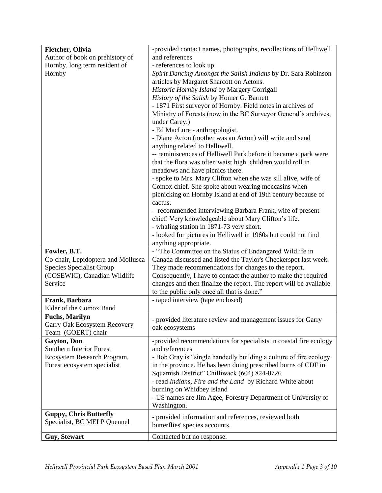| <b>Fletcher</b> , Olivia           | -provided contact names, photographs, recollections of Helliwell   |
|------------------------------------|--------------------------------------------------------------------|
| Author of book on prehistory of    | and references                                                     |
| Hornby, long term resident of      | - references to look up                                            |
| Hornby                             | Spirit Dancing Amongst the Salish Indians by Dr. Sara Robinson     |
|                                    | articles by Margaret Sharcott on Actons.                           |
|                                    | Historic Hornby Island by Margery Corrigall                        |
|                                    | History of the Salish by Homer G. Barnett                          |
|                                    | - 1871 First surveyor of Hornby. Field notes in archives of        |
|                                    | Ministry of Forests (now in the BC Surveyor General's archives,    |
|                                    | under Carey.)                                                      |
|                                    | - Ed MacLure - anthropologist.                                     |
|                                    | - Diane Acton (mother was an Acton) will write and send            |
|                                    | anything related to Helliwell.                                     |
|                                    | -- reminiscences of Helliwell Park before it became a park were    |
|                                    | that the flora was often waist high, children would roll in        |
|                                    | meadows and have picnics there.                                    |
|                                    | - spoke to Mrs. Mary Clifton when she was sill alive, wife of      |
|                                    | Comox chief. She spoke about wearing moccasins when                |
|                                    | picnicking on Hornby Island at end of 19th century because of      |
|                                    | cactus.                                                            |
|                                    | - recommended interviewing Barbara Frank, wife of present          |
|                                    | chief. Very knowledgeable about Mary Clifton's life.               |
|                                    | - whaling station in 1871-73 very short.                           |
|                                    | - looked for pictures in Helliwell in 1960s but could not find     |
|                                    | anything appropriate.                                              |
| Fowler, B.T.                       | - "The Committee on the Status of Endangered Wildlife in           |
| Co-chair, Lepidoptera and Mollusca | Canada discussed and listed the Taylor's Checkerspot last week.    |
| Species Specialist Group           | They made recommendations for changes to the report.               |
| (COSEWIC), Canadian Wildlife       | Consequently, I have to contact the author to make the required    |
| Service                            | changes and then finalize the report. The report will be available |
|                                    | to the public only once all that is done."                         |
| Frank, Barbara                     | - taped interview (tape enclosed)                                  |
| Elder of the Comox Band            |                                                                    |
| <b>Fuchs, Marilyn</b>              |                                                                    |
| Garry Oak Ecosystem Recovery       | - provided literature review and management issues for Garry       |
| Team (GOERT) chair                 | oak ecosystems                                                     |
| Gayton, Don                        | -provided recommendations for specialists in coastal fire ecology  |
| <b>Southern Interior Forest</b>    | and references                                                     |
| Ecosystem Research Program,        | - Bob Gray is "single handedly building a culture of fire ecology  |
| Forest ecosystem specialist        | in the province. He has been doing prescribed burns of CDF in      |
|                                    | Squamish District" Chilliwack (604) 824-8726                       |
|                                    | - read Indians, Fire and the Land by Richard White about           |
|                                    | burning on Whidbey Island                                          |
|                                    | - US names are Jim Agee, Forestry Department of University of      |
|                                    | Washington.                                                        |
| <b>Guppy, Chris Butterfly</b>      |                                                                    |
| Specialist, BC MELP Quennel        | - provided information and references, reviewed both               |
|                                    | butterflies' species accounts.                                     |
| <b>Guy, Stewart</b>                | Contacted but no response.                                         |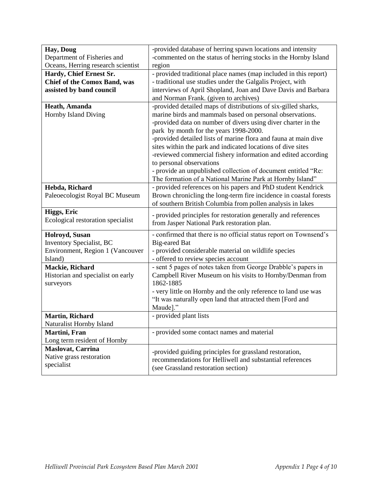| Hay, Doug                                                           | -provided database of herring spawn locations and intensity                                 |
|---------------------------------------------------------------------|---------------------------------------------------------------------------------------------|
| Department of Fisheries and                                         | -commented on the status of herring stocks in the Hornby Island                             |
| Oceans, Herring research scientist                                  | region                                                                                      |
| Hardy, Chief Ernest Sr.                                             | - provided traditional place names (map included in this report)                            |
| <b>Chief of the Comox Band, was</b>                                 | - traditional use studies under the Galgalis Project, with                                  |
| assisted by band council                                            | interviews of April Shopland, Joan and Dave Davis and Barbara                               |
|                                                                     | and Norman Frank. (given to archives)                                                       |
| Heath, Amanda                                                       | -provided detailed maps of distributions of six-gilled sharks,                              |
| Hornby Island Diving                                                | marine birds and mammals based on personal observations.                                    |
|                                                                     | -provided data on number of divers using diver charter in the                               |
|                                                                     | park by month for the years 1998-2000.                                                      |
|                                                                     | -provided detailed lists of marine flora and fauna at main dive                             |
|                                                                     | sites within the park and indicated locations of dive sites                                 |
|                                                                     | -reviewed commercial fishery information and edited according                               |
|                                                                     | to personal observations                                                                    |
|                                                                     | - provide an unpublished collection of document entitled "Re:                               |
|                                                                     | The formation of a National Marine Park at Hornby Island"                                   |
| Hebda, Richard                                                      | - provided references on his papers and PhD student Kendrick                                |
| Paleoecologist Royal BC Museum                                      | Brown chronicling the long-term fire incidence in coastal forests                           |
|                                                                     | of southern British Columbia from pollen analysis in lakes                                  |
| Higgs, Eric                                                         | - provided principles for restoration generally and references                              |
|                                                                     |                                                                                             |
| Ecological restoration specialist                                   | from Jasper National Park restoration plan.                                                 |
|                                                                     |                                                                                             |
| Holroyd, Susan                                                      | - confirmed that there is no official status report on Townsend's<br><b>Big-eared Bat</b>   |
| <b>Inventory Specialist, BC</b><br>Environment, Region 1 (Vancouver |                                                                                             |
| Island)                                                             | - provided considerable material on wildlife species<br>- offered to review species account |
| Mackie, Richard                                                     | - sent 5 pages of notes taken from George Drabble's papers in                               |
| Historian and specialist on early                                   | Campbell River Museum on his visits to Hornby/Denman from                                   |
| surveyors                                                           | 1862-1885                                                                                   |
|                                                                     | - very little on Hornby and the only reference to land use was                              |
|                                                                     | "It was naturally open land that attracted them [Ford and                                   |
|                                                                     | Maude]."                                                                                    |
| <b>Martin, Richard</b>                                              | - provided plant lists                                                                      |
| Naturalist Hornby Island                                            |                                                                                             |
| Martini, Fran                                                       | - provided some contact names and material                                                  |
| Long term resident of Hornby                                        |                                                                                             |
| <b>Maslovat, Carrina</b>                                            | -provided guiding principles for grassland restoration,                                     |
| Native grass restoration                                            | recommendations for Helliwell and substantial references                                    |
| specialist                                                          | (see Grassland restoration section)                                                         |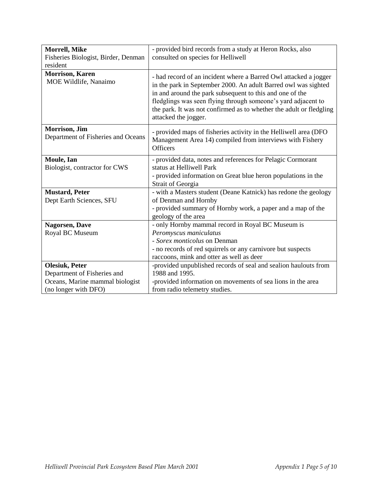| Morrell, Mike<br>Fisheries Biologist, Birder, Denman<br>resident                                                | - provided bird records from a study at Heron Rocks, also<br>consulted on species for Helliwell                                                                                                                                                                                                                                                                |
|-----------------------------------------------------------------------------------------------------------------|----------------------------------------------------------------------------------------------------------------------------------------------------------------------------------------------------------------------------------------------------------------------------------------------------------------------------------------------------------------|
| <b>Morrison, Karen</b><br>MOE Wildlife, Nanaimo                                                                 | - had record of an incident where a Barred Owl attacked a jogger<br>in the park in September 2000. An adult Barred owl was sighted<br>in and around the park subsequent to this and one of the<br>fledglings was seen flying through someone's yard adjacent to<br>the park. It was not confirmed as to whether the adult or fledgling<br>attacked the jogger. |
| Morrison, Jim<br>Department of Fisheries and Oceans                                                             | - provided maps of fisheries activity in the Helliwell area (DFO<br>Management Area 14) compiled from interviews with Fishery<br><b>Officers</b>                                                                                                                                                                                                               |
| Moule, Ian<br>Biologist, contractor for CWS                                                                     | - provided data, notes and references for Pelagic Cormorant<br>status at Helliwell Park<br>- provided information on Great blue heron populations in the<br>Strait of Georgia                                                                                                                                                                                  |
| <b>Mustard, Peter</b><br>Dept Earth Sciences, SFU                                                               | - with a Masters student (Deane Katnick) has redone the geology<br>of Denman and Hornby<br>- provided summary of Hornby work, a paper and a map of the<br>geology of the area                                                                                                                                                                                  |
| <b>Nagorsen</b> , Dave<br>Royal BC Museum                                                                       | - only Hornby mammal record in Royal BC Museum is<br>Peromyscus maniculatus<br>- Sorex monticolus on Denman<br>- no records of red squirrels or any carnivore but suspects<br>raccoons, mink and otter as well as deer                                                                                                                                         |
| <b>Olesiuk, Peter</b><br>Department of Fisheries and<br>Oceans, Marine mammal biologist<br>(no longer with DFO) | -provided unpublished records of seal and sealion haulouts from<br>1988 and 1995.<br>-provided information on movements of sea lions in the area<br>from radio telemetry studies.                                                                                                                                                                              |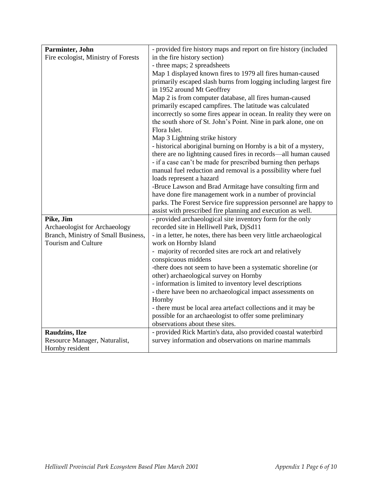| Parminter, John                     | - provided fire history maps and report on fire history (included  |
|-------------------------------------|--------------------------------------------------------------------|
| Fire ecologist, Ministry of Forests | in the fire history section)                                       |
|                                     | - three maps; 2 spreadsheets                                       |
|                                     | Map 1 displayed known fires to 1979 all fires human-caused         |
|                                     | primarily escaped slash burns from logging including largest fire  |
|                                     | in 1952 around Mt Geoffrey                                         |
|                                     | Map 2 is from computer database, all fires human-caused            |
|                                     | primarily escaped campfires. The latitude was calculated           |
|                                     | incorrectly so some fires appear in ocean. In reality they were on |
|                                     | the south shore of St. John's Point. Nine in park alone, one on    |
|                                     | Flora Islet.                                                       |
|                                     | Map 3 Lightning strike history                                     |
|                                     | - historical aboriginal burning on Hornby is a bit of a mystery,   |
|                                     | there are no lightning caused fires in records-all human caused    |
|                                     | - if a case can't be made for prescribed burning then perhaps      |
|                                     | manual fuel reduction and removal is a possibility where fuel      |
|                                     | loads represent a hazard                                           |
|                                     | -Bruce Lawson and Brad Armitage have consulting firm and           |
|                                     | have done fire management work in a number of provincial           |
|                                     | parks. The Forest Service fire suppression personnel are happy to  |
|                                     | assist with prescribed fire planning and execution as well.        |
| Pike, Jim                           | - provided archaeological site inventory form for the only         |
| Archaeologist for Archaeology       | recorded site in Helliwell Park, DjSd11                            |
| Branch, Ministry of Small Business, | - in a letter, he notes, there has been very little archaeological |
| <b>Tourism and Culture</b>          | work on Hornby Island                                              |
|                                     | - majority of recorded sites are rock art and relatively           |
|                                     | conspicuous middens                                                |
|                                     | -there does not seem to have been a systematic shoreline (or       |
|                                     | other) archaeological survey on Hornby                             |
|                                     | - information is limited to inventory level descriptions           |
|                                     | - there have been no archaeological impact assessments on          |
|                                     | Hornby                                                             |
|                                     | - there must be local area artefact collections and it may be      |
|                                     | possible for an archaeologist to offer some preliminary            |
|                                     | observations about these sites.                                    |
| <b>Raudzins, Ilze</b>               | - provided Rick Martin's data, also provided coastal waterbird     |
| Resource Manager, Naturalist,       | survey information and observations on marine mammals              |
| Hornby resident                     |                                                                    |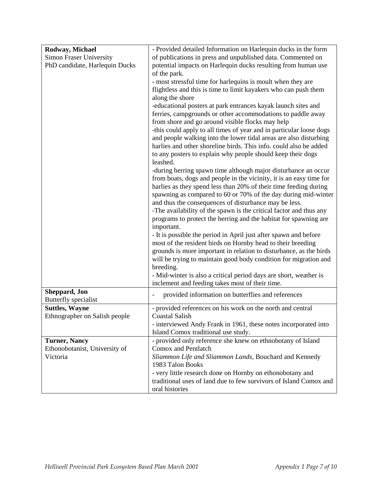| Rodway, Michael                       | - Provided detailed Information on Harlequin ducks in the form                                                                                                                                                                                                                                                                                                                                                                                                                                                                                                                                                                                                                                                                                                                                                                                              |
|---------------------------------------|-------------------------------------------------------------------------------------------------------------------------------------------------------------------------------------------------------------------------------------------------------------------------------------------------------------------------------------------------------------------------------------------------------------------------------------------------------------------------------------------------------------------------------------------------------------------------------------------------------------------------------------------------------------------------------------------------------------------------------------------------------------------------------------------------------------------------------------------------------------|
| <b>Simon Fraser University</b>        | of publications in press and unpublished data. Commented on                                                                                                                                                                                                                                                                                                                                                                                                                                                                                                                                                                                                                                                                                                                                                                                                 |
| PhD candidate, Harlequin Ducks        | potential impacts on Harlequin ducks resulting from human use<br>of the park.                                                                                                                                                                                                                                                                                                                                                                                                                                                                                                                                                                                                                                                                                                                                                                               |
|                                       | - most stressful time for harlequins is moult when they are                                                                                                                                                                                                                                                                                                                                                                                                                                                                                                                                                                                                                                                                                                                                                                                                 |
|                                       | flightless and this is time to limit kayakers who can push them<br>along the shore                                                                                                                                                                                                                                                                                                                                                                                                                                                                                                                                                                                                                                                                                                                                                                          |
|                                       | -educational posters at park entrances kayak launch sites and<br>ferries, campgrounds or other accommodations to paddle away<br>from shore and go around visible flocks may help<br>-this could apply to all times of year and in particular loose dogs<br>and people walking into the lower tidal areas are also disturbing<br>harlies and other shoreline birds. This info. could also be added<br>to any posters to explain why people should keep their dogs<br>leashed.                                                                                                                                                                                                                                                                                                                                                                                |
|                                       | -during herring spawn time although major disturbance an occur<br>from boats, dogs and people in the vicinity, it is an easy time for<br>harlies as they spend less than 20% of their time feeding during<br>spawning as compared to 60 or 70% of the day during mid-winter<br>and thus the consequences of disturbance may be less.<br>-The availability of the spawn is the critical factor and thus any<br>programs to protect the herring and the habitat for spawning are<br>important.<br>- It is possible the period in April just after spawn and before<br>most of the resident birds on Hornby head to their breeding<br>grounds is more important in relation to disturbance, as the birds<br>will be trying to maintain good body condition for migration and<br>breeding.<br>- Mid-winter is also a critical period days are short, weather is |
| Sheppard, Jon<br>Butterfly specialist | inclement and feeding takes most of their time.<br>provided information on butterflies and references                                                                                                                                                                                                                                                                                                                                                                                                                                                                                                                                                                                                                                                                                                                                                       |
| <b>Suttles, Wayne</b>                 | - provided references on his work on the north and central                                                                                                                                                                                                                                                                                                                                                                                                                                                                                                                                                                                                                                                                                                                                                                                                  |
| Ethnographer on Salish people         | <b>Coastal Salish</b><br>- interviewed Andy Frank in 1961, these notes incorporated into<br>Island Comox traditional use study.                                                                                                                                                                                                                                                                                                                                                                                                                                                                                                                                                                                                                                                                                                                             |
| <b>Turner, Nancy</b>                  | - provided only reference she knew on ethnobotany of Island                                                                                                                                                                                                                                                                                                                                                                                                                                                                                                                                                                                                                                                                                                                                                                                                 |
| Ethonobotanist, University of         | Comox and Pentlatch                                                                                                                                                                                                                                                                                                                                                                                                                                                                                                                                                                                                                                                                                                                                                                                                                                         |
| Victoria                              | Sliammon Life and Sliammon Lands, Bouchard and Kennedy<br>1983 Talon Books                                                                                                                                                                                                                                                                                                                                                                                                                                                                                                                                                                                                                                                                                                                                                                                  |
|                                       | - very little research done on Hornby on ethonobotany and                                                                                                                                                                                                                                                                                                                                                                                                                                                                                                                                                                                                                                                                                                                                                                                                   |
|                                       | traditional uses of land due to few survivors of Island Comox and<br>oral histories                                                                                                                                                                                                                                                                                                                                                                                                                                                                                                                                                                                                                                                                                                                                                                         |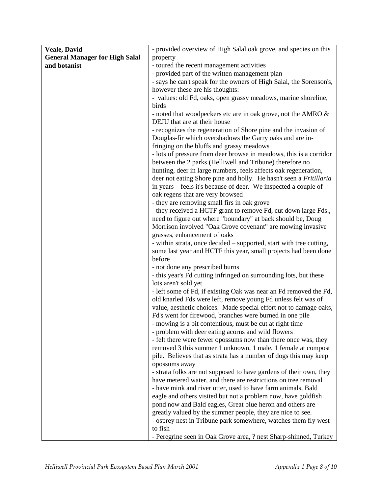| <b>Veale, David</b>                   | - provided overview of High Salal oak grove, and species on this    |
|---------------------------------------|---------------------------------------------------------------------|
| <b>General Manager for High Salal</b> | property                                                            |
| and botanist                          | - toured the recent management activities                           |
|                                       | - provided part of the written management plan                      |
|                                       | - says he can't speak for the owners of High Salal, the Sorenson's, |
|                                       | however these are his thoughts:                                     |
|                                       | - values: old Fd, oaks, open grassy meadows, marine shoreline,      |
|                                       | birds                                                               |
|                                       | - noted that woodpeckers etc are in oak grove, not the AMRO &       |
|                                       | DEJU that are at their house                                        |
|                                       | - recognizes the regeneration of Shore pine and the invasion of     |
|                                       | Douglas-fir which overshadows the Garry oaks and are in-            |
|                                       | fringing on the bluffs and grassy meadows                           |
|                                       | - lots of pressure from deer browse in meadows, this is a corridor  |
|                                       | between the 2 parks (Helliwell and Tribune) therefore no            |
|                                       | hunting, deer in large numbers, feels affects oak regeneration,     |
|                                       | deer not eating Shore pine and holly. He hasn't seen a Fritillaria  |
|                                       | in years – feels it's because of deer. We inspected a couple of     |
|                                       | oak regens that are very browsed                                    |
|                                       | - they are removing small firs in oak grove                         |
|                                       | - they received a HCTF grant to remove Fd, cut down large Fds.,     |
|                                       | need to figure out where "boundary" at back should be, Doug         |
|                                       | Morrison involved "Oak Grove covenant" are mowing invasive          |
|                                       | grasses, enhancement of oaks                                        |
|                                       | - within strata, once decided – supported, start with tree cutting, |
|                                       | some last year and HCTF this year, small projects had been done     |
|                                       | before                                                              |
|                                       | - not done any prescribed burns                                     |
|                                       | - this year's Fd cutting infringed on surrounding lots, but these   |
|                                       | lots aren't sold yet                                                |
|                                       | - left some of Fd, if existing Oak was near an Fd removed the Fd,   |
|                                       | old knarled Fds were left, remove young Fd unless felt was of       |
|                                       | value, aesthetic choices. Made special effort not to damage oaks,   |
|                                       | Fd's went for firewood, branches were burned in one pile            |
|                                       | - mowing is a bit contentious, must be cut at right time            |
|                                       | - problem with deer eating acorns and wild flowers                  |
|                                       | - felt there were fewer opossums now than there once was, they      |
|                                       | removed 3 this summer 1 unknown, 1 male, 1 female at compost        |
|                                       | pile. Believes that as strata has a number of dogs this may keep    |
|                                       | opossums away                                                       |
|                                       | - strata folks are not supposed to have gardens of their own, they  |
|                                       | have metered water, and there are restrictions on tree removal      |
|                                       | - have mink and river otter, used to have farm animals, Bald        |
|                                       | eagle and others visited but not a problem now, have goldfish       |
|                                       | pond now and Bald eagles, Great blue heron and others are           |
|                                       | greatly valued by the summer people, they are nice to see.          |
|                                       | - osprey nest in Tribune park somewhere, watches them fly west      |
|                                       | to fish                                                             |
|                                       | - Peregrine seen in Oak Grove area, ? nest Sharp-shinned, Turkey    |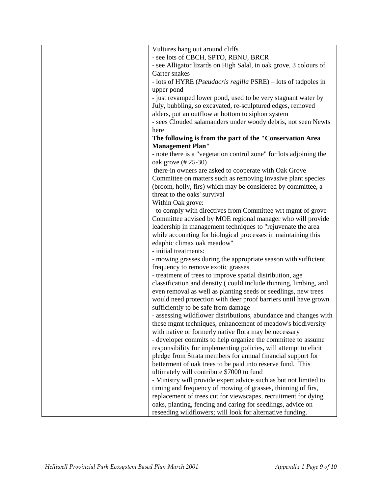| Vultures hang out around cliffs                                    |
|--------------------------------------------------------------------|
| - see lots of CBCH, SPTO, RBNU, BRCR                               |
| - see Alligator lizards on High Salal, in oak grove, 3 colours of  |
| Garter snakes                                                      |
| - lots of HYRE (Pseudacris regilla PSRE) - lots of tadpoles in     |
| upper pond                                                         |
| - just revamped lower pond, used to be very stagnant water by      |
| July, bubbling, so excavated, re-sculptured edges, removed         |
| alders, put an outflow at bottom to siphon system                  |
| - sees Clouded salamanders under woody debris, not seen Newts      |
| here                                                               |
| The following is from the part of the "Conservation Area           |
|                                                                    |
| <b>Management Plan"</b>                                            |
| - note there is a "vegetation control zone" for lots adjoining the |
| oak grove (# 25-30)                                                |
| there-in owners are asked to cooperate with Oak Grove              |
| Committee on matters such as removing invasive plant species       |
| (broom, holly, firs) which may be considered by committee, a       |
| threat to the oaks' survival                                       |
| Within Oak grove:                                                  |
| - to comply with directives from Committee wrt mgmt of grove       |
| Committee advised by MOE regional manager who will provide         |
| leadership in management techniques to "rejuvenate the area        |
| while accounting for biological processes in maintaining this      |
| edaphic climax oak meadow"                                         |
| - initial treatments:                                              |
| - mowing grasses during the appropriate season with sufficient     |
| frequency to remove exotic grasses                                 |
| - treatment of trees to improve spatial distribution, age          |
| classification and density (could include thinning, limbing, and   |
|                                                                    |
| even removal as well as planting seeds or seedlings, new trees     |
| would need protection with deer proof barriers until have grown    |
| sufficiently to be safe from damage                                |
| - assessing wildflower distributions, abundance and changes with   |
| these mgmt techniques, enhancement of meadow's biodiversity        |
| with native or formerly native flora may be necessary              |
| - developer commits to help organize the committee to assume       |
| responsibility for implementing policies, will attempt to elicit   |
| pledge from Strata members for annual financial support for        |
| betterment of oak trees to be paid into reserve fund. This         |
| ultimately will contribute \$7000 to fund                          |
| - Ministry will provide expert advice such as but not limited to   |
| timing and frequency of mowing of grasses, thinning of firs,       |
| replacement of trees cut for viewscapes, recruitment for dying     |
| oaks, planting, fencing and caring for seedlings, advice on        |
| reseeding wildflowers; will look for alternative funding.          |
|                                                                    |